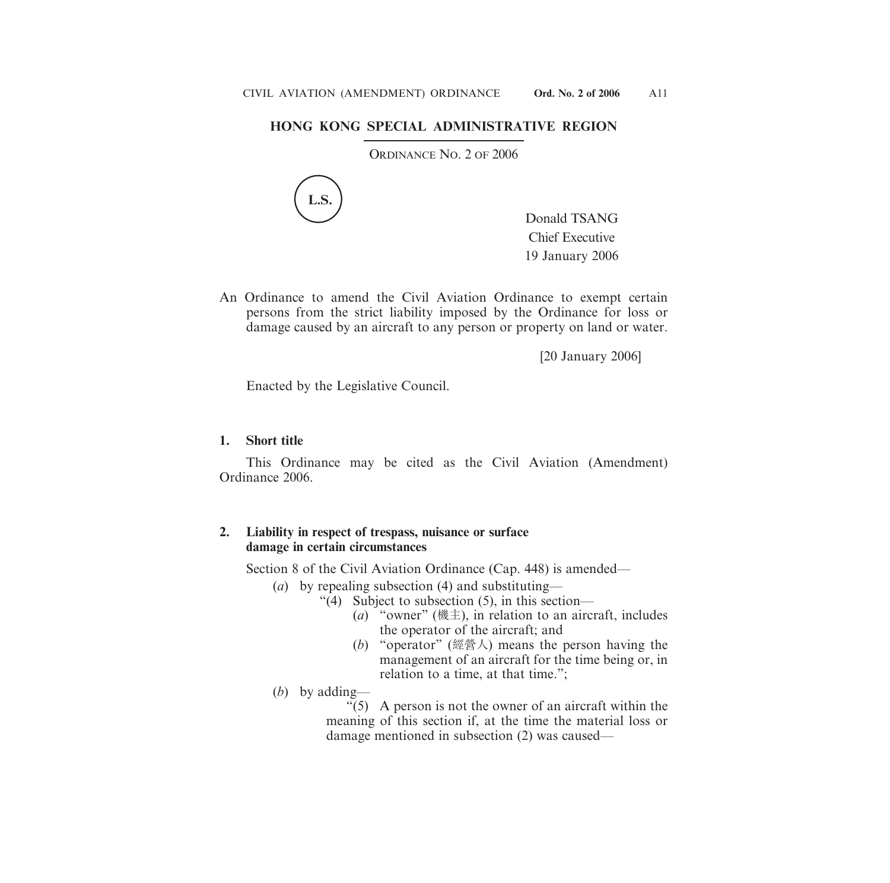## **HONG KONG SPECIAL ADMINISTRATIVE REGION**

ORDINANCE NO. 2 OF 2006



Donald TSANG Chief Executive 19 January 2006

An Ordinance to amend the Civil Aviation Ordinance to exempt certain persons from the strict liability imposed by the Ordinance for loss or damage caused by an aircraft to any person or property on land or water.

[20 January 2006]

Enacted by the Legislative Council.

## **1. Short title**

This Ordinance may be cited as the Civil Aviation (Amendment) Ordinance 2006.

## **2. Liability in respect of trespass, nuisance or surface damage in certain circumstances**

Section 8 of the Civil Aviation Ordinance (Cap. 448) is amended—

- (*a*) by repealing subsection (4) and substituting—
	- "(4) Subject to subsection (5), in this section—
		- (*a*) "owner" (機主), in relation to an aircraft, includes the operator of the aircraft; and
		- (*b*) "operator" (經營人) means the person having the management of an aircraft for the time being or, in relation to a time, at that time.";
- (*b*) by adding—

"(5) A person is not the owner of an aircraft within the meaning of this section if, at the time the material loss or damage mentioned in subsection (2) was caused—